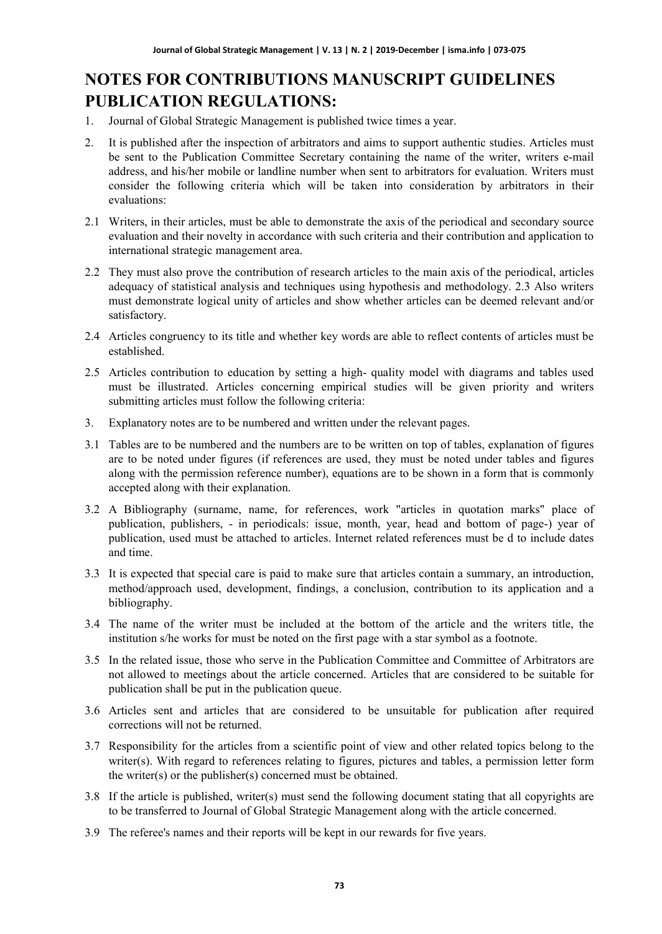# **NOTES FOR CONTRIBUTIONS MANUSCRIPT GUIDELINES PUBLICATION REGULATIONS:**

- 1. Journal of Global Strategic Management is published twice times a year.
- 2. It is published after the inspection of arbitrators and aims to support authentic studies. Articles must be sent to the Publication Committee Secretary containing the name of the writer, writers e-mail address, and his/her mobile or landline number when sent to arbitrators for evaluation. Writers must consider the following criteria which will be taken into consideration by arbitrators in their evaluations:
- 2.1 Writers, in their articles, must be able to demonstrate the axis of the periodical and secondary source evaluation and their novelty in accordance with such criteria and their contribution and application to international strategic management area.
- 2.2 They must also prove the contribution of research articles to the main axis of the periodical, articles adequacy of statistical analysis and techniques using hypothesis and methodology. 2.3 Also writers must demonstrate logical unity of articles and show whether articles can be deemed relevant and/or satisfactory.
- 2.4 Articles congruency to its title and whether key words are able to reflect contents of articles must be established.
- 2.5 Articles contribution to education by setting a high- quality model with diagrams and tables used must be illustrated. Articles concerning empirical studies will be given priority and writers submitting articles must follow the following criteria:
- 3. Explanatory notes are to be numbered and written under the relevant pages.
- 3.1 Tables are to be numbered and the numbers are to be written on top of tables, explanation of figures are to be noted under figures (if references are used, they must be noted under tables and figures along with the permission reference number), equations are to be shown in a form that is commonly accepted along with their explanation.
- 3.2 A Bibliography (surname, name, for references, work "articles in quotation marks" place of publication, publishers, - in periodicals: issue, month, year, head and bottom of page-) year of publication, used must be attached to articles. Internet related references must be d to include dates and time.
- 3.3 It is expected that special care is paid to make sure that articles contain a summary, an introduction, method/approach used, development, findings, a conclusion, contribution to its application and a bibliography.
- 3.4 The name of the writer must be included at the bottom of the article and the writers title, the institution s/he works for must be noted on the first page with a star symbol as a footnote.
- 3.5 In the related issue, those who serve in the Publication Committee and Committee of Arbitrators are not allowed to meetings about the article concerned. Articles that are considered to be suitable for publication shall be put in the publication queue.
- 3.6 Articles sent and articles that are considered to be unsuitable for publication after required corrections will not be returned.
- 3.7 Responsibility for the articles from a scientific point of view and other related topics belong to the writer(s). With regard to references relating to figures, pictures and tables, a permission letter form the writer(s) or the publisher(s) concerned must be obtained.
- 3.8 If the article is published, writer(s) must send the following document stating that all copyrights are to be transferred to Journal of Global Strategic Management along with the article concerned.
- 3.9 The referee's names and their reports will be kept in our rewards for five years.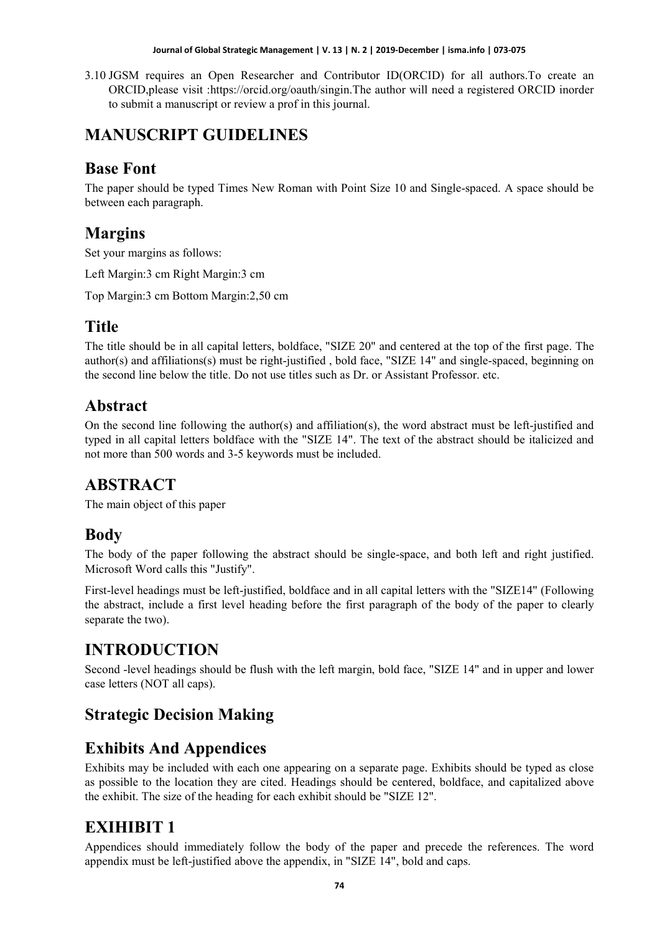#### **Journal of Global Strategic Management | V. 13 | N. 2 | 2019-December | isma.info | 073-075**

3.10 JGSM requires an Open Researcher and Contributor ID(ORCID) for all authors.To create an ORCID,please visit :https://orcid.org/oauth/singin.The author will need a registered ORCID inorder to submit a manuscript or review a prof in this journal.

## **MANUSCRIPT GUIDELINES**

## **Base Font**

The paper should be typed Times New Roman with Point Size 10 and Single-spaced. A space should be between each paragraph.

### **Margins**

Set your margins as follows:

Left Margin:3 cm Right Margin:3 cm

Top Margin:3 cm Bottom Margin:2,50 cm

## **Title**

The title should be in all capital letters, boldface, "SIZE 20" and centered at the top of the first page. The author(s) and affiliations(s) must be right-justified , bold face, "SIZE 14" and single-spaced, beginning on the second line below the title. Do not use titles such as Dr. or Assistant Professor. etc.

#### **Abstract**

On the second line following the author(s) and affiliation(s), the word abstract must be left-justified and typed in all capital letters boldface with the "SIZE 14". The text of the abstract should be italicized and not more than 500 words and 3-5 keywords must be included.

### **ABSTRACT**

The main object of this paper

### **Body**

The body of the paper following the abstract should be single-space, and both left and right justified. Microsoft Word calls this "Justify".

First-level headings must be left-justified, boldface and in all capital letters with the "SIZE14" (Following the abstract, include a first level heading before the first paragraph of the body of the paper to clearly separate the two).

# **INTRODUCTION**

Second -level headings should be flush with the left margin, bold face, "SIZE 14" and in upper and lower case letters (NOT all caps).

## **Strategic Decision Making**

## **Exhibits And Appendices**

Exhibits may be included with each one appearing on a separate page. Exhibits should be typed as close as possible to the location they are cited. Headings should be centered, boldface, and capitalized above the exhibit. The size of the heading for each exhibit should be "SIZE 12".

## **EXIHIBIT 1**

Appendices should immediately follow the body of the paper and precede the references. The word appendix must be left-justified above the appendix, in "SIZE 14", bold and caps.